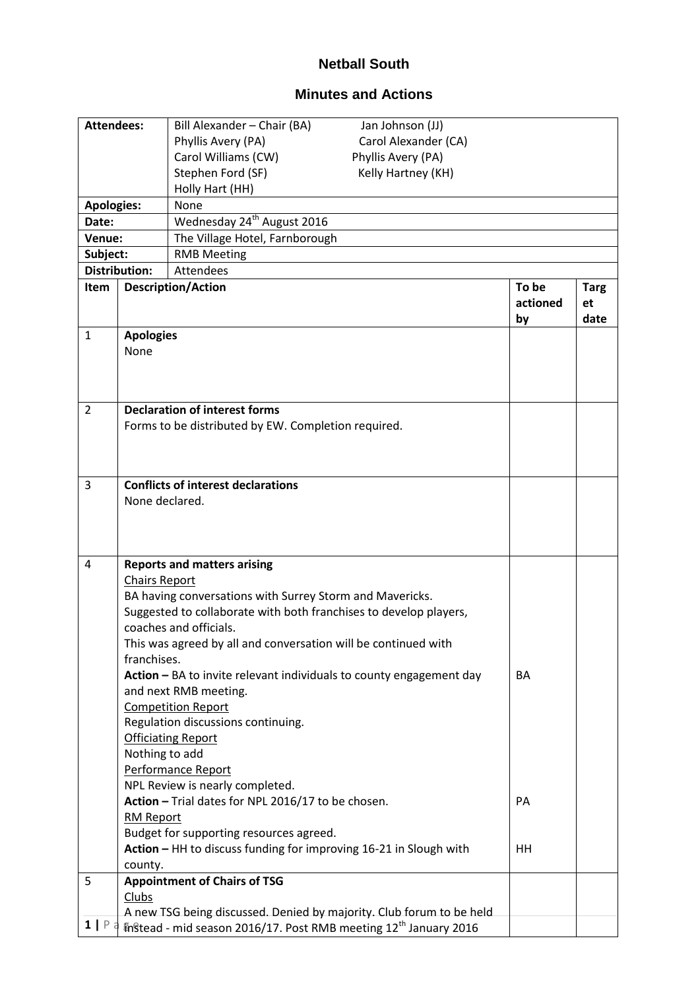## **Netball South**

## **Minutes and Actions**

| <b>Attendees:</b> |                      | Bill Alexander - Chair (BA)<br>Jan Johnson (JJ)                               |          |             |
|-------------------|----------------------|-------------------------------------------------------------------------------|----------|-------------|
|                   |                      | Carol Alexander (CA)<br>Phyllis Avery (PA)                                    |          |             |
|                   |                      | Carol Williams (CW)<br>Phyllis Avery (PA)                                     |          |             |
|                   |                      | Stephen Ford (SF)<br>Kelly Hartney (KH)                                       |          |             |
|                   |                      | Holly Hart (HH)                                                               |          |             |
| <b>Apologies:</b> |                      | None                                                                          |          |             |
| Date:             |                      | Wednesday 24 <sup>th</sup> August 2016                                        |          |             |
| Venue:            |                      | The Village Hotel, Farnborough                                                |          |             |
| Subject:          |                      | <b>RMB Meeting</b>                                                            |          |             |
|                   | <b>Distribution:</b> | <b>Attendees</b>                                                              |          |             |
| <b>Item</b>       |                      | <b>Description/Action</b>                                                     | To be    | <b>Targ</b> |
|                   |                      |                                                                               | actioned | et          |
|                   |                      |                                                                               | by       | date        |
| $\mathbf{1}$      | <b>Apologies</b>     |                                                                               |          |             |
|                   | None                 |                                                                               |          |             |
|                   |                      |                                                                               |          |             |
|                   |                      |                                                                               |          |             |
| $\overline{2}$    |                      | <b>Declaration of interest forms</b>                                          |          |             |
|                   |                      | Forms to be distributed by EW. Completion required.                           |          |             |
|                   |                      |                                                                               |          |             |
|                   |                      |                                                                               |          |             |
|                   |                      |                                                                               |          |             |
| 3                 |                      | <b>Conflicts of interest declarations</b>                                     |          |             |
|                   | None declared.       |                                                                               |          |             |
|                   |                      |                                                                               |          |             |
|                   |                      |                                                                               |          |             |
| 4                 |                      | <b>Reports and matters arising</b>                                            |          |             |
|                   | <b>Chairs Report</b> |                                                                               |          |             |
|                   |                      | BA having conversations with Surrey Storm and Mavericks.                      |          |             |
|                   |                      | Suggested to collaborate with both franchises to develop players,             |          |             |
|                   |                      | coaches and officials.                                                        |          |             |
|                   |                      | This was agreed by all and conversation will be continued with                |          |             |
|                   | franchises.          |                                                                               |          |             |
|                   |                      | Action - BA to invite relevant individuals to county engagement day           | BA       |             |
|                   |                      | and next RMB meeting.                                                         |          |             |
|                   |                      | <b>Competition Report</b>                                                     |          |             |
|                   |                      | Regulation discussions continuing.                                            |          |             |
|                   |                      | <b>Officiating Report</b>                                                     |          |             |
|                   | Nothing to add       |                                                                               |          |             |
|                   |                      | Performance Report                                                            |          |             |
|                   |                      | NPL Review is nearly completed.                                               |          |             |
|                   |                      | Action - Trial dates for NPL 2016/17 to be chosen.                            | PA       |             |
|                   | <b>RM Report</b>     |                                                                               |          |             |
|                   |                      | Budget for supporting resources agreed.                                       |          |             |
|                   |                      | Action - HH to discuss funding for improving 16-21 in Slough with             | HH       |             |
|                   | county.              |                                                                               |          |             |
| 5                 |                      | <b>Appointment of Chairs of TSG</b>                                           |          |             |
|                   | <b>Clubs</b>         |                                                                               |          |             |
| 1   P             |                      | A new TSG being discussed. Denied by majority. Club forum to be held          |          |             |
|                   |                      | th stead - mid season 2016/17. Post RMB meeting 12 <sup>th</sup> January 2016 |          |             |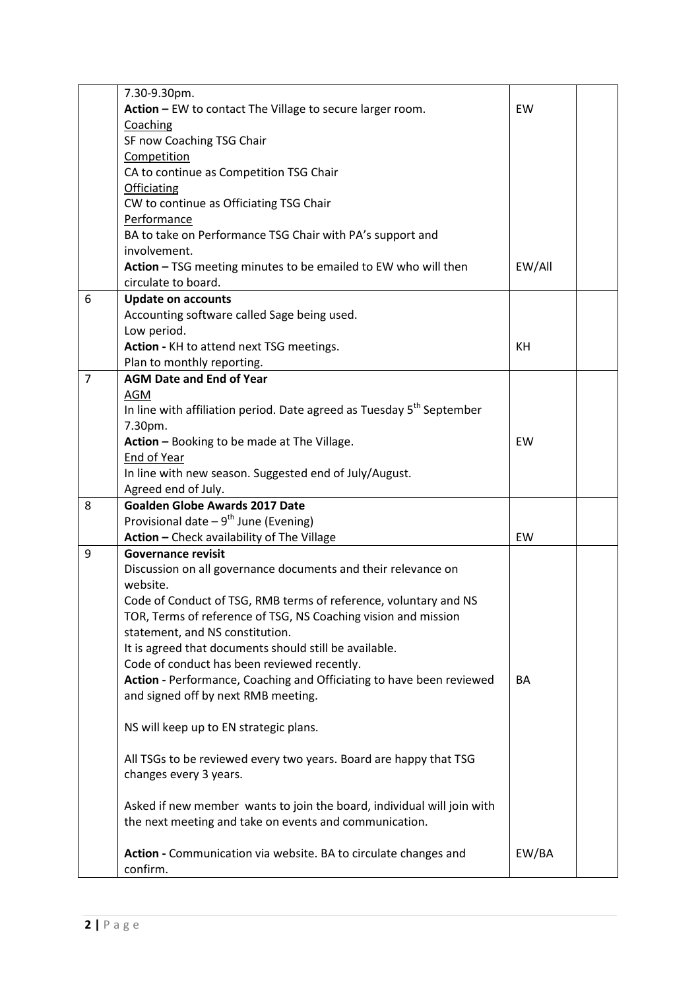|                | 7.30-9.30pm.                                                                      |        |  |  |  |
|----------------|-----------------------------------------------------------------------------------|--------|--|--|--|
|                | Action - EW to contact The Village to secure larger room.                         | EW     |  |  |  |
|                | Coaching                                                                          |        |  |  |  |
|                | SF now Coaching TSG Chair                                                         |        |  |  |  |
|                | Competition                                                                       |        |  |  |  |
|                | CA to continue as Competition TSG Chair                                           |        |  |  |  |
|                | <b>Officiating</b>                                                                |        |  |  |  |
|                | CW to continue as Officiating TSG Chair                                           |        |  |  |  |
|                | Performance                                                                       |        |  |  |  |
|                | BA to take on Performance TSG Chair with PA's support and                         |        |  |  |  |
|                | involvement.                                                                      |        |  |  |  |
|                | Action - TSG meeting minutes to be emailed to EW who will then                    | EW/All |  |  |  |
|                | circulate to board.                                                               |        |  |  |  |
| 6              | <b>Update on accounts</b>                                                         |        |  |  |  |
|                | Accounting software called Sage being used.                                       |        |  |  |  |
|                | Low period.                                                                       |        |  |  |  |
|                | Action - KH to attend next TSG meetings.                                          | KH     |  |  |  |
|                | Plan to monthly reporting.                                                        |        |  |  |  |
| $\overline{7}$ | <b>AGM Date and End of Year</b>                                                   |        |  |  |  |
|                | AGM                                                                               |        |  |  |  |
|                | In line with affiliation period. Date agreed as Tuesday 5 <sup>th</sup> September |        |  |  |  |
|                | 7.30pm.                                                                           |        |  |  |  |
|                | Action - Booking to be made at The Village.                                       | EW     |  |  |  |
|                | <b>End of Year</b>                                                                |        |  |  |  |
|                | In line with new season. Suggested end of July/August.                            |        |  |  |  |
|                | Agreed end of July.                                                               |        |  |  |  |
| 8              | <b>Goalden Globe Awards 2017 Date</b>                                             |        |  |  |  |
|                | Provisional date $-9^{th}$ June (Evening)                                         |        |  |  |  |
|                | Action - Check availability of The Village                                        | EW     |  |  |  |
| 9              | <b>Governance revisit</b>                                                         |        |  |  |  |
|                | Discussion on all governance documents and their relevance on                     |        |  |  |  |
|                | website.                                                                          |        |  |  |  |
|                | Code of Conduct of TSG, RMB terms of reference, voluntary and NS                  |        |  |  |  |
|                | TOR, Terms of reference of TSG, NS Coaching vision and mission                    |        |  |  |  |
|                | statement, and NS constitution.                                                   |        |  |  |  |
|                | It is agreed that documents should still be available.                            |        |  |  |  |
|                | Code of conduct has been reviewed recently.                                       |        |  |  |  |
|                | Action - Performance, Coaching and Officiating to have been reviewed              | BA     |  |  |  |
|                | and signed off by next RMB meeting.                                               |        |  |  |  |
|                |                                                                                   |        |  |  |  |
|                | NS will keep up to EN strategic plans.                                            |        |  |  |  |
|                |                                                                                   |        |  |  |  |
|                | All TSGs to be reviewed every two years. Board are happy that TSG                 |        |  |  |  |
|                | changes every 3 years.                                                            |        |  |  |  |
|                |                                                                                   |        |  |  |  |
|                | Asked if new member wants to join the board, individual will join with            |        |  |  |  |
|                |                                                                                   |        |  |  |  |
|                | the next meeting and take on events and communication.                            |        |  |  |  |
|                |                                                                                   |        |  |  |  |
|                | Action - Communication via website. BA to circulate changes and                   | EW/BA  |  |  |  |